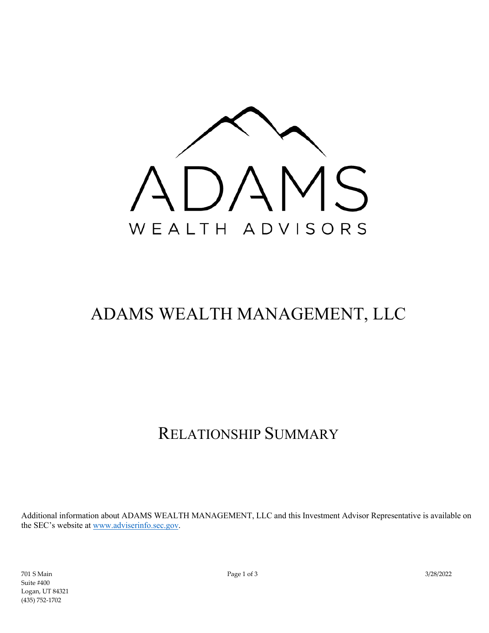

# ADAMS WEALTH MANAGEMENT, LLC

# RELATIONSHIP SUMMARY

Additional information about ADAMS WEALTH MANAGEMENT, LLC and this Investment Advisor Representative is available on the SEC's website at [www.adviserinfo.sec.gov.](http://www.adviserinfo.sec.gov/)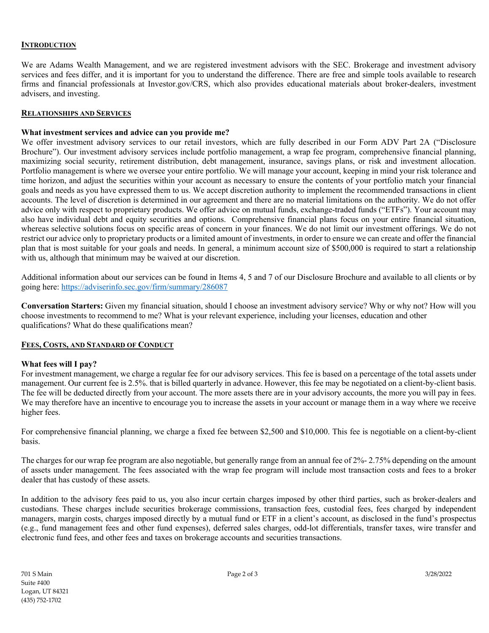# **INTRODUCTION**

We are Adams Wealth Management, and we are registered investment advisors with the SEC. Brokerage and investment advisory services and fees differ, and it is important for you to understand the difference. There are free and simple tools available to research firms and financial professionals at Investor.gov/CRS, which also provides educational materials about broker-dealers, investment advisers, and investing.

#### **RELATIONSHIPS AND SERVICES**

### **What investment services and advice can you provide me?**

We offer investment advisory services to our retail investors, which are fully described in our Form ADV Part 2A ("Disclosure Brochure"). Our investment advisory services include portfolio management, a wrap fee program, comprehensive financial planning, maximizing social security, retirement distribution, debt management, insurance, savings plans, or risk and investment allocation. Portfolio management is where we oversee your entire portfolio. We will manage your account, keeping in mind your risk tolerance and time horizon, and adjust the securities within your account as necessary to ensure the contents of your portfolio match your financial goals and needs as you have expressed them to us. We accept discretion authority to implement the recommended transactions in client accounts. The level of discretion is determined in our agreement and there are no material limitations on the authority. We do not offer advice only with respect to proprietary products. We offer advice on mutual funds, exchange-traded funds ("ETFs"). Your account may also have individual debt and equity securities and options. Comprehensive financial plans focus on your entire financial situation, whereas selective solutions focus on specific areas of concern in your finances. We do not limit our investment offerings. We do not restrict our advice only to proprietary products or a limited amount of investments, in order to ensure we can create and offer the financial plan that is most suitable for your goals and needs. In general, a minimum account size of \$500,000 is required to start a relationship with us, although that minimum may be waived at our discretion.

Additional information about our services can be found in Items 4, 5 and 7 of our Disclosure Brochure and available to all clients or by going here:<https://adviserinfo.sec.gov/firm/summary/286087>

**Conversation Starters:** Given my financial situation, should I choose an investment advisory service? Why or why not? How will you choose investments to recommend to me? What is your relevant experience, including your licenses, education and other qualifications? What do these qualifications mean?

## **FEES, COSTS, AND STANDARD OF CONDUCT**

#### **What fees will I pay?**

For investment management, we charge a regular fee for our advisory services. This fee is based on a percentage of the total assets under management. Our current fee is 2.5%. that is billed quarterly in advance. However, this fee may be negotiated on a client-by-client basis. The fee will be deducted directly from your account. The more assets there are in your advisory accounts, the more you will pay in fees. We may therefore have an incentive to encourage you to increase the assets in your account or manage them in a way where we receive higher fees.

For comprehensive financial planning, we charge a fixed fee between \$2,500 and \$10,000. This fee is negotiable on a client-by-client basis.

The charges for our wrap fee program are also negotiable, but generally range from an annual fee of 2%- 2.75% depending on the amount of assets under management. The fees associated with the wrap fee program will include most transaction costs and fees to a broker dealer that has custody of these assets.

In addition to the advisory fees paid to us, you also incur certain charges imposed by other third parties, such as broker-dealers and custodians. These charges include securities brokerage commissions, transaction fees, custodial fees, fees charged by independent managers, margin costs, charges imposed directly by a mutual fund or ETF in a client's account, as disclosed in the fund's prospectus (e.g., fund management fees and other fund expenses), deferred sales charges, odd-lot differentials, transfer taxes, wire transfer and electronic fund fees, and other fees and taxes on brokerage accounts and securities transactions.